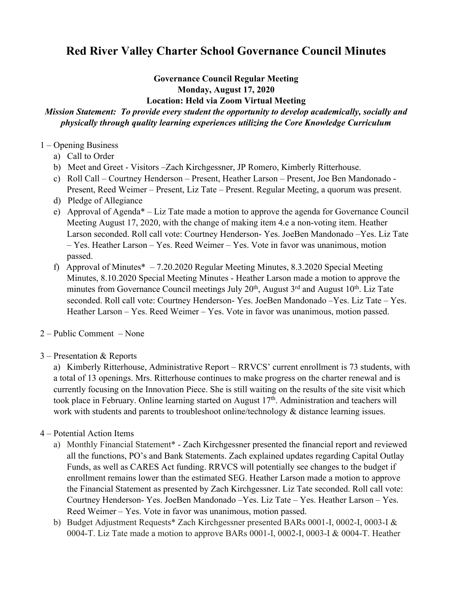## **Red River Valley Charter School Governance Council Minutes**

## **Governance Council Regular Meeting Monday, August 17, 2020 Location: Held via Zoom Virtual Meeting**

## *Mission Statement: To provide every student the opportunity to develop academically, socially and physically through quality learning experiences utilizing the Core Knowledge Curriculum*

- 1 Opening Business
	- a) Call to Order
	- b) Meet and Greet Visitors –Zach Kirchgessner, JP Romero, Kimberly Ritterhouse.
	- c) Roll Call Courtney Henderson Present, Heather Larson Present, Joe Ben Mandonado Present, Reed Weimer – Present, Liz Tate – Present. Regular Meeting, a quorum was present.
	- d) Pledge of Allegiance
	- e) Approval of Agenda\* Liz Tate made a motion to approve the agenda for Governance Council Meeting August 17, 2020, with the change of making item 4.e a non-voting item. Heather Larson seconded. Roll call vote: Courtney Henderson- Yes. JoeBen Mandonado –Yes. Liz Tate – Yes. Heather Larson – Yes. Reed Weimer – Yes. Vote in favor was unanimous, motion passed.
	- f) Approval of Minutes $* 7.20.2020$  Regular Meeting Minutes, 8.3.2020 Special Meeting Minutes, 8.10.2020 Special Meeting Minutes - Heather Larson made a motion to approve the minutes from Governance Council meetings July  $20<sup>th</sup>$ , August  $3<sup>rd</sup>$  and August  $10<sup>th</sup>$ . Liz Tate seconded. Roll call vote: Courtney Henderson- Yes. JoeBen Mandonado –Yes. Liz Tate – Yes. Heather Larson – Yes. Reed Weimer – Yes. Vote in favor was unanimous, motion passed.
- 2 Public Comment None
- 3 Presentation & Reports

a) Kimberly Ritterhouse, Administrative Report – RRVCS' current enrollment is 73 students, with a total of 13 openings. Mrs. Ritterhouse continues to make progress on the charter renewal and is currently focusing on the Innovation Piece. She is still waiting on the results of the site visit which took place in February. Online learning started on August 17<sup>th</sup>. Administration and teachers will work with students and parents to troubleshoot online/technology & distance learning issues.

- 4 Potential Action Items
	- a) Monthly Financial Statement\* Zach Kirchgessner presented the financial report and reviewed all the functions, PO's and Bank Statements. Zach explained updates regarding Capital Outlay Funds, as well as CARES Act funding. RRVCS will potentially see changes to the budget if enrollment remains lower than the estimated SEG. Heather Larson made a motion to approve the Financial Statement as presented by Zach Kirchgessner. Liz Tate seconded. Roll call vote: Courtney Henderson- Yes. JoeBen Mandonado –Yes. Liz Tate – Yes. Heather Larson – Yes. Reed Weimer – Yes. Vote in favor was unanimous, motion passed.
	- b) Budget Adjustment Requests\* Zach Kirchgessner presented BARs 0001-I, 0002-I, 0003-I & 0004-T. Liz Tate made a motion to approve BARs 0001-I, 0002-I, 0003-I & 0004-T. Heather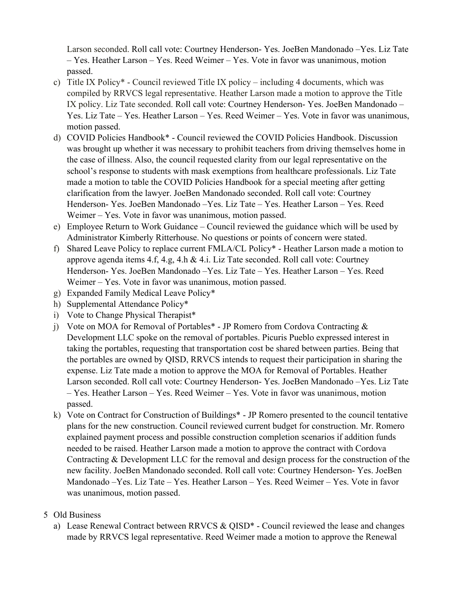Larson seconded. Roll call vote: Courtney Henderson- Yes. JoeBen Mandonado –Yes. Liz Tate – Yes. Heather Larson – Yes. Reed Weimer – Yes. Vote in favor was unanimous, motion passed.

- c) Title IX Policy\* Council reviewed Title IX policy including 4 documents, which was compiled by RRVCS legal representative. Heather Larson made a motion to approve the Title IX policy. Liz Tate seconded. Roll call vote: Courtney Henderson- Yes. JoeBen Mandonado – Yes. Liz Tate – Yes. Heather Larson – Yes. Reed Weimer – Yes. Vote in favor was unanimous, motion passed.
- d) COVID Policies Handbook\* Council reviewed the COVID Policies Handbook. Discussion was brought up whether it was necessary to prohibit teachers from driving themselves home in the case of illness. Also, the council requested clarity from our legal representative on the school's response to students with mask exemptions from healthcare professionals. Liz Tate made a motion to table the COVID Policies Handbook for a special meeting after getting clarification from the lawyer. JoeBen Mandonado seconded. Roll call vote: Courtney Henderson- Yes. JoeBen Mandonado –Yes. Liz Tate – Yes. Heather Larson – Yes. Reed Weimer – Yes. Vote in favor was unanimous, motion passed.
- e) Employee Return to Work Guidance Council reviewed the guidance which will be used by Administrator Kimberly Ritterhouse. No questions or points of concern were stated.
- f) Shared Leave Policy to replace current FMLA/CL Policy\* Heather Larson made a motion to approve agenda items 4.f, 4.g, 4.h & 4.i. Liz Tate seconded. Roll call vote: Courtney Henderson- Yes. JoeBen Mandonado –Yes. Liz Tate – Yes. Heather Larson – Yes. Reed Weimer – Yes. Vote in favor was unanimous, motion passed.
- g) Expanded Family Medical Leave Policy\*
- h) Supplemental Attendance Policy\*
- i) Vote to Change Physical Therapist\*
- j) Vote on MOA for Removal of Portables\* JP Romero from Cordova Contracting & Development LLC spoke on the removal of portables. Picuris Pueblo expressed interest in taking the portables, requesting that transportation cost be shared between parties. Being that the portables are owned by QISD, RRVCS intends to request their participation in sharing the expense. Liz Tate made a motion to approve the MOA for Removal of Portables. Heather Larson seconded. Roll call vote: Courtney Henderson- Yes. JoeBen Mandonado –Yes. Liz Tate – Yes. Heather Larson – Yes. Reed Weimer – Yes. Vote in favor was unanimous, motion passed.
- k) Vote on Contract for Construction of Buildings\* JP Romero presented to the council tentative plans for the new construction. Council reviewed current budget for construction. Mr. Romero explained payment process and possible construction completion scenarios if addition funds needed to be raised. Heather Larson made a motion to approve the contract with Cordova Contracting & Development LLC for the removal and design process for the construction of the new facility. JoeBen Mandonado seconded. Roll call vote: Courtney Henderson- Yes. JoeBen Mandonado –Yes. Liz Tate – Yes. Heather Larson – Yes. Reed Weimer – Yes. Vote in favor was unanimous, motion passed.

## 5 Old Business

a) Lease Renewal Contract between RRVCS & QISD\* - Council reviewed the lease and changes made by RRVCS legal representative. Reed Weimer made a motion to approve the Renewal